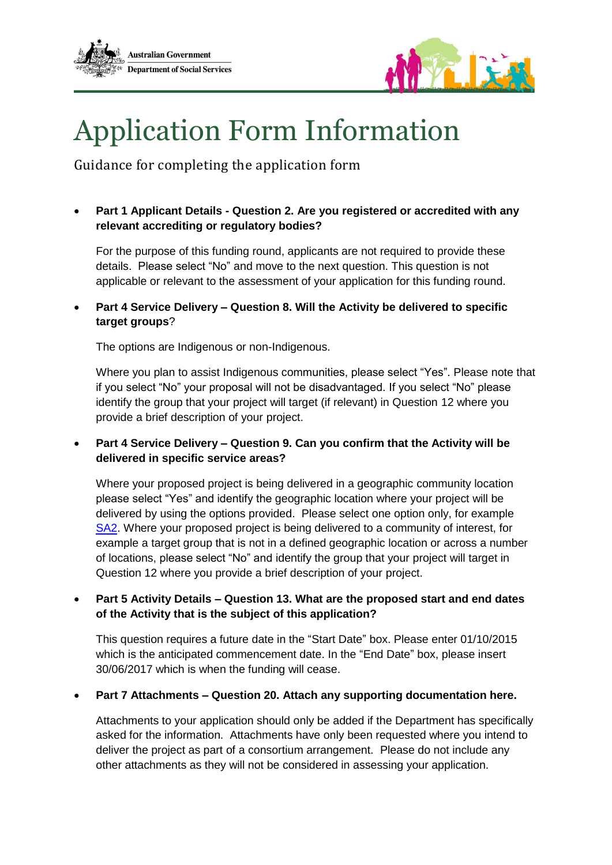



## Application Form Information

Guidance for completing the application form

 **Part 1 Applicant Details - Question 2. Are you registered or accredited with any relevant accrediting or regulatory bodies?**

For the purpose of this funding round, applicants are not required to provide these details. Please select "No" and move to the next question. This question is not applicable or relevant to the assessment of your application for this funding round.

 **Part 4 Service Delivery – Question 8. Will the Activity be delivered to specific target groups**?

The options are Indigenous or non-Indigenous.

Where you plan to assist Indigenous communities, please select "Yes". Please note that if you select "No" your proposal will not be disadvantaged. If you select "No" please identify the group that your project will target (if relevant) in Question 12 where you provide a brief description of your project.

 **Part 4 Service Delivery – Question 9. Can you confirm that the Activity will be delivered in specific service areas?**

Where your proposed project is being delivered in a geographic community location please select "Yes" and identify the geographic location where your project will be delivered by using the options provided. Please select one option only, for example [SA2.](http://www.abs.gov.au/websitedbs/D3310114.nsf/home/Australian+Statistical+Geography+Standard+(ASGS)) Where your proposed project is being delivered to a community of interest, for example a target group that is not in a defined geographic location or across a number of locations, please select "No" and identify the group that your project will target in Question 12 where you provide a brief description of your project.

## **Part 5 Activity Details – Question 13. What are the proposed start and end dates of the Activity that is the subject of this application?**

This question requires a future date in the "Start Date" box. Please enter 01/10/2015 which is the anticipated commencement date. In the "End Date" box, please insert 30/06/2017 which is when the funding will cease.

## **Part 7 Attachments – Question 20. Attach any supporting documentation here.**

Attachments to your application should only be added if the Department has specifically asked for the information. Attachments have only been requested where you intend to deliver the project as part of a consortium arrangement. Please do not include any other attachments as they will not be considered in assessing your application.